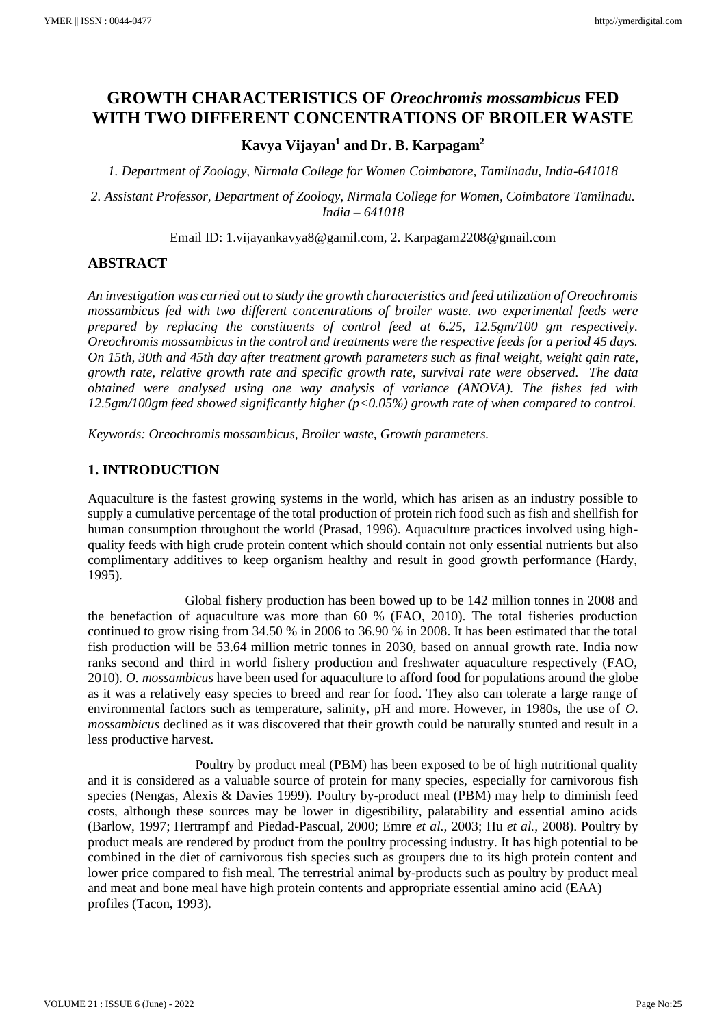# **GROWTH CHARACTERISTICS OF** *Oreochromis mossambicus* **FED WITH TWO DIFFERENT CONCENTRATIONS OF BROILER WASTE**

# **Kavya Vijayan<sup>1</sup> and Dr. B. Karpagam<sup>2</sup>**

*1. Department of Zoology, Nirmala College for Women Coimbatore, Tamilnadu, India-641018*

*2. Assistant Professor, Department of Zoology, Nirmala College for Women, Coimbatore Tamilnadu. India – 641018*

Email ID: 1.vijayankavya8@gamil.com, 2. Karpagam2208@gmail.com

# **ABSTRACT**

*An investigation was carried out to study the growth characteristics and feed utilization of Oreochromis mossambicus fed with two different concentrations of broiler waste. two experimental feeds were prepared by replacing the constituents of control feed at 6.25, 12.5gm/100 gm respectively. Oreochromis mossambicus in the control and treatments were the respective feeds for a period 45 days. On 15th, 30th and 45th day after treatment growth parameters such as final weight, weight gain rate, growth rate, relative growth rate and specific growth rate, survival rate were observed. The data obtained were analysed using one way analysis of variance (ANOVA). The fishes fed with 12.5gm/100gm feed showed significantly higher (p<0.05%) growth rate of when compared to control.* 

*Keywords: Oreochromis mossambicus, Broiler waste, Growth parameters.*

# **1. INTRODUCTION**

Aquaculture is the fastest growing systems in the world, which has arisen as an industry possible to supply a cumulative percentage of the total production of protein rich food such as fish and shellfish for human consumption throughout the world (Prasad, 1996). Aquaculture practices involved using highquality feeds with high crude protein content which should contain not only essential nutrients but also complimentary additives to keep organism healthy and result in good growth performance (Hardy, 1995).

 Global fishery production has been bowed up to be 142 million tonnes in 2008 and the benefaction of aquaculture was more than 60 % (FAO, 2010). The total fisheries production continued to grow rising from 34.50 % in 2006 to 36.90 % in 2008. It has been estimated that the total fish production will be 53.64 million metric tonnes in 2030, based on annual growth rate. India now ranks second and third in world fishery production and freshwater aquaculture respectively (FAO, 2010). *O. mossambicus* have been used for aquaculture to afford food for populations around the globe as it was a relatively easy species to breed and rear for food. They also can tolerate a large range of environmental factors such as temperature, salinity, pH and more. However, in 1980s, the use of *O. mossambicus* declined as it was discovered that their growth could be naturally stunted and result in a less productive harvest.

 Poultry by product meal (PBM) has been exposed to be of high nutritional quality and it is considered as a valuable source of protein for many species, especially for carnivorous fish species (Nengas, Alexis & Davies 1999). Poultry by-product meal (PBM) may help to diminish feed costs, although these sources may be lower in digestibility, palatability and essential amino acids (Barlow, 1997; Hertrampf and Piedad-Pascual, 2000; Emre *et al.,* 2003; Hu *et al.,* 2008). Poultry by product meals are rendered by product from the poultry processing industry. It has high potential to be combined in the diet of carnivorous fish species such as groupers due to its high protein content and lower price compared to fish meal. The terrestrial animal by-products such as poultry by product meal and meat and bone meal have high protein contents and appropriate essential amino acid (EAA) profiles (Tacon, 1993).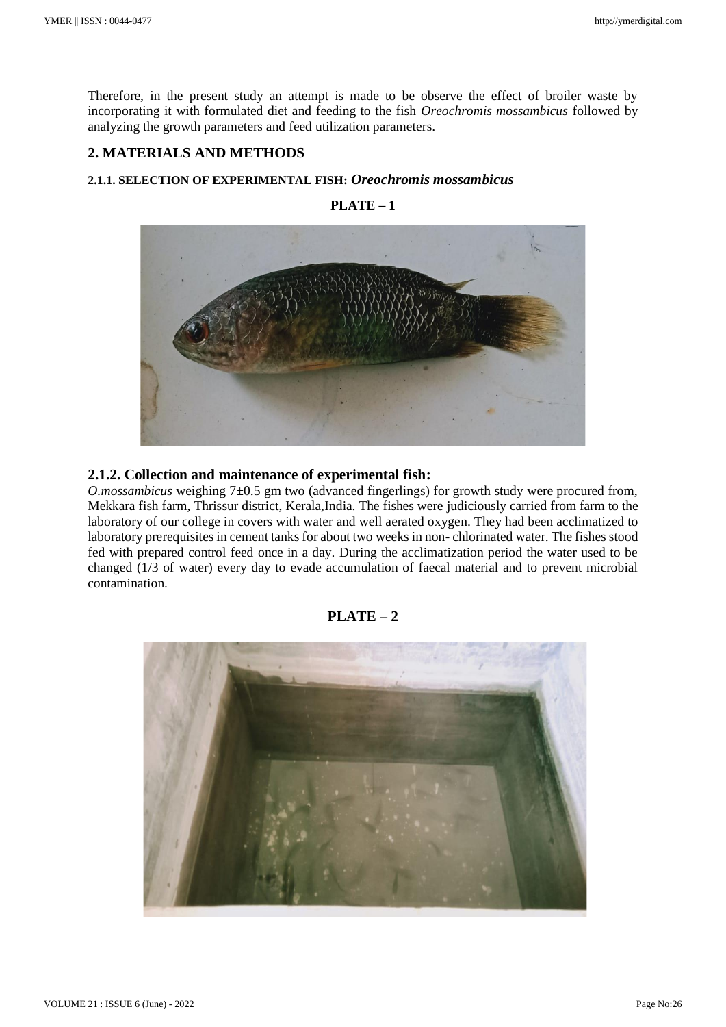Therefore, in the present study an attempt is made to be observe the effect of broiler waste by incorporating it with formulated diet and feeding to the fish *Oreochromis mossambicus* followed by analyzing the growth parameters and feed utilization parameters.

# **2. MATERIALS AND METHODS**

#### **2.1.1. SELECTION OF EXPERIMENTAL FISH:** *Oreochromis mossambicus*



**PLATE – 1**

#### **2.1.2. Collection and maintenance of experimental fish:**

*O.mossambicus* weighing 7±0.5 gm two (advanced fingerlings) for growth study were procured from, Mekkara fish farm, Thrissur district, Kerala,India. The fishes were judiciously carried from farm to the laboratory of our college in covers with water and well aerated oxygen. They had been acclimatized to laboratory prerequisites in cement tanks for about two weeks in non- chlorinated water. The fishes stood fed with prepared control feed once in a day. During the acclimatization period the water used to be changed (1/3 of water) every day to evade accumulation of faecal material and to prevent microbial contamination.

#### **PLATE – 2**

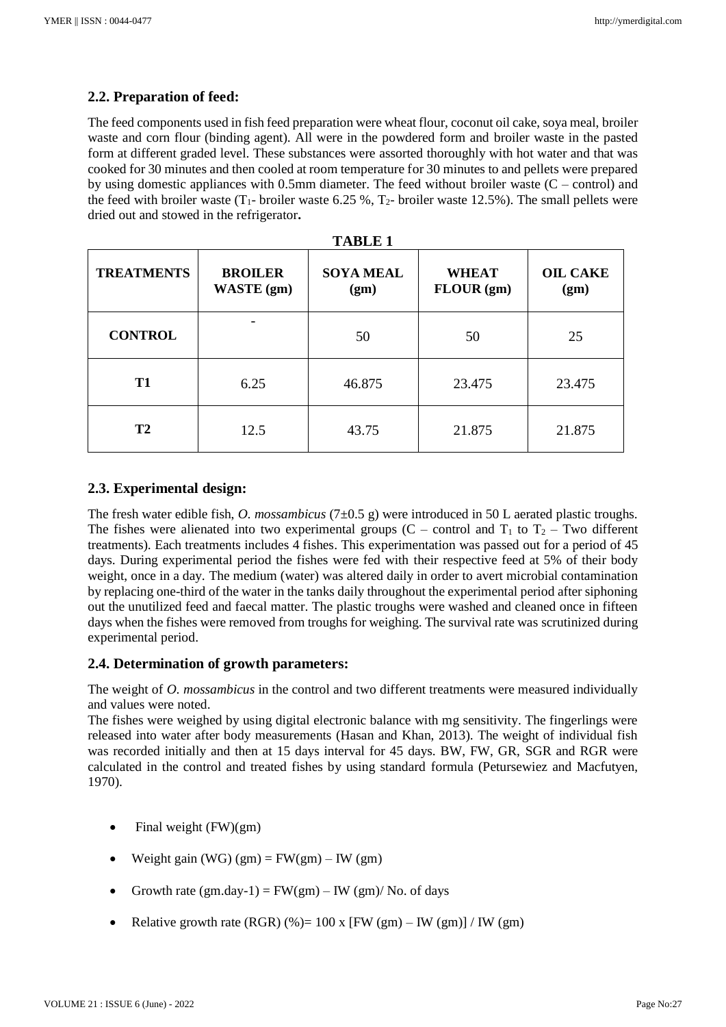# **2.2. Preparation of feed:**

The feed components used in fish feed preparation were wheat flour, coconut oil cake, soya meal, broiler waste and corn flour (binding agent). All were in the powdered form and broiler waste in the pasted form at different graded level. These substances were assorted thoroughly with hot water and that was cooked for 30 minutes and then cooled at room temperature for 30 minutes to and pellets were prepared by using domestic appliances with 0.5mm diameter. The feed without broiler waste  $(C - control)$  and the feed with broiler waste  $(T_1$ - broiler waste 6.25 %,  $T_2$ - broiler waste 12.5%). The small pellets were dried out and stowed in the refrigerator**.**

| <b>TABLE 1</b>    |                                     |                          |                            |                         |  |  |
|-------------------|-------------------------------------|--------------------------|----------------------------|-------------------------|--|--|
| <b>TREATMENTS</b> | <b>BROILER</b><br><b>WASTE</b> (gm) | <b>SOYA MEAL</b><br>(gm) | <b>WHEAT</b><br>FLOUR (gm) | <b>OIL CAKE</b><br>(gm) |  |  |
| <b>CONTROL</b>    |                                     | 50                       | 50                         | 25                      |  |  |
| <b>T1</b>         | 6.25                                | 46.875                   | 23.475                     | 23.475                  |  |  |
| T2                | 12.5                                | 43.75                    | 21.875                     | 21.875                  |  |  |

# **2.3. Experimental design:**

The fresh water edible fish, *O. mossambicus* (7±0.5 g) were introduced in 50 L aerated plastic troughs. The fishes were alienated into two experimental groups (C – control and  $T_1$  to  $T_2$  – Two different treatments). Each treatments includes 4 fishes. This experimentation was passed out for a period of 45 days. During experimental period the fishes were fed with their respective feed at 5% of their body weight, once in a day. The medium (water) was altered daily in order to avert microbial contamination by replacing one-third of the water in the tanks daily throughout the experimental period after siphoning out the unutilized feed and faecal matter. The plastic troughs were washed and cleaned once in fifteen days when the fishes were removed from troughs for weighing. The survival rate was scrutinized during experimental period.

#### **2.4. Determination of growth parameters:**

The weight of *O. mossambicus* in the control and two different treatments were measured individually and values were noted.

The fishes were weighed by using digital electronic balance with mg sensitivity. The fingerlings were released into water after body measurements (Hasan and Khan, 2013). The weight of individual fish was recorded initially and then at 15 days interval for 45 days. BW, FW, GR, SGR and RGR were calculated in the control and treated fishes by using standard formula (Petursewiez and Macfutyen, 1970).

- Final weight (FW)(gm)
- Weight gain (WG)  $(gm) = FW(gm) IW(gm)$
- Growth rate  $(gm.day-1) = FW(gm) IW(gm)/No$ . of days
- Relative growth rate (RGR) (%)=  $100 \text{ x}$  [FW (gm) IW (gm)] / IW (gm)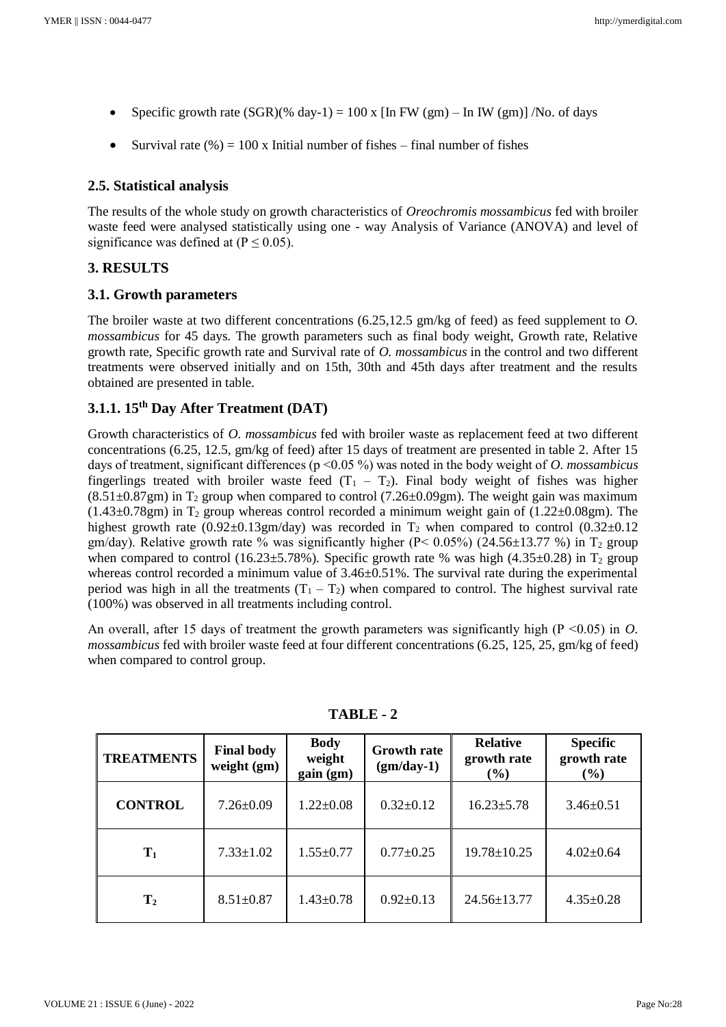- Specific growth rate  $(SGR)(% day-1) = 100$  x [In FW (gm) In IW (gm)] /No. of days
- Survival rate  $(\%) = 100 \text{ x}$  Initial number of fishes final number of fishes

# **2.5. Statistical analysis**

The results of the whole study on growth characteristics of *Oreochromis mossambicus* fed with broiler waste feed were analysed statistically using one - way Analysis of Variance (ANOVA) and level of significance was defined at  $(P \le 0.05)$ .

# **3. RESULTS**

# **3.1. Growth parameters**

The broiler waste at two different concentrations (6.25,12.5 gm/kg of feed) as feed supplement to *O. mossambicus* for 45 days. The growth parameters such as final body weight, Growth rate, Relative growth rate, Specific growth rate and Survival rate of *O. mossambicus* in the control and two different treatments were observed initially and on 15th, 30th and 45th days after treatment and the results obtained are presented in table.

# **3.1.1. 15th Day After Treatment (DAT)**

Growth characteristics of *O. mossambicus* fed with broiler waste as replacement feed at two different concentrations (6.25, 12.5, gm/kg of feed) after 15 days of treatment are presented in table 2. After 15 days of treatment, significant differences (p ˂0.05 %) was noted in the body weight of *O. mossambicus* fingerlings treated with broiler waste feed  $(T_1 - T_2)$ . Final body weight of fishes was higher  $(8.51\pm0.87\text{gm})$  in T<sub>2</sub> group when compared to control (7.26 $\pm$ 0.09gm). The weight gain was maximum  $(1.43\pm0.78$ gm) in T<sub>2</sub> group whereas control recorded a minimum weight gain of  $(1.22\pm0.08$ gm). The highest growth rate (0.92 $\pm$ 0.13gm/day) was recorded in T<sub>2</sub> when compared to control (0.32 $\pm$ 0.12 gm/day). Relative growth rate % was significantly higher ( $P < 0.05\%$ ) (24.56±13.77 %) in T<sub>2</sub> group when compared to control (16.23 $\pm$ 5.78%). Specific growth rate % was high (4.35 $\pm$ 0.28) in T<sub>2</sub> group whereas control recorded a minimum value of  $3.46\pm0.51\%$ . The survival rate during the experimental period was high in all the treatments  $(T_1 - T_2)$  when compared to control. The highest survival rate (100%) was observed in all treatments including control.

An overall, after 15 days of treatment the growth parameters was significantly high (P ˂0.05) in *O. mossambicus* fed with broiler waste feed at four different concentrations (6.25, 125, 25, gm/kg of feed) when compared to control group.

| <b>TREATMENTS</b> | <b>Final body</b><br>weight (gm) | <b>Body</b><br>weight<br>gain (gm) | <b>Growth rate</b><br>$(gm/day-1)$ | <b>Relative</b><br>growth rate<br>(%) | <b>Specific</b><br>growth rate<br>(%) |
|-------------------|----------------------------------|------------------------------------|------------------------------------|---------------------------------------|---------------------------------------|
| <b>CONTROL</b>    | $7.26 \pm 0.09$                  | $1.22 \pm 0.08$                    | $0.32 \pm 0.12$                    | $16.23 \pm 5.78$                      | $3.46 \pm 0.51$                       |
| $\mathbf{T}_1$    | $7.33 \pm 1.02$                  | $1.55 \pm 0.77$                    | $0.77 \pm 0.25$                    | $19.78 \pm 10.25$                     | $4.02 \pm 0.64$                       |
| $\mathbf{T}_2$    | $8.51 \pm 0.87$                  | $1.43 \pm 0.78$                    | $0.92 \pm 0.13$                    | $24.56 \pm 13.77$                     | $4.35 \pm 0.28$                       |

**TABLE - 2**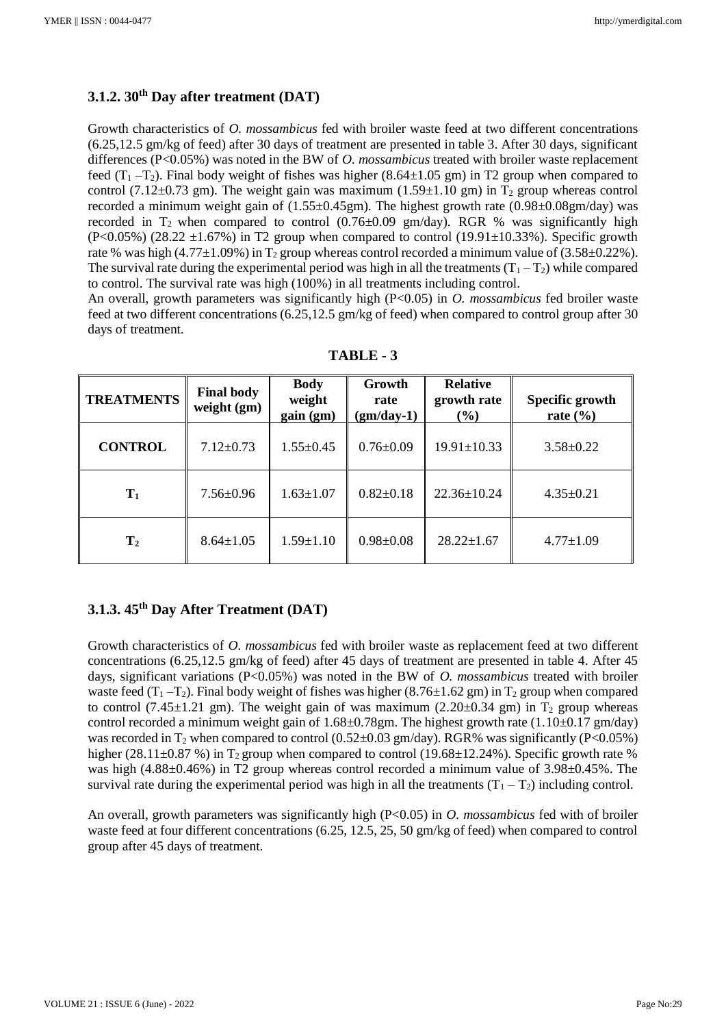# **3.1.2. 30th Day after treatment (DAT)**

Growth characteristics of *O. mossambicus* fed with broiler waste feed at two different concentrations (6.25,12.5 gm/kg of feed) after 30 days of treatment are presented in table 3. After 30 days, significant differences (P<0.05%) was noted in the BW of *O. mossambicus* treated with broiler waste replacement feed  $(T_1 - T_2)$ . Final body weight of fishes was higher (8.64 $\pm$ 1.05 gm) in T2 group when compared to control (7.12 $\pm$ 0.73 gm). The weight gain was maximum (1.59 $\pm$ 1.10 gm) in T<sub>2</sub> group whereas control recorded a minimum weight gain of (1.55±0.45gm). The highest growth rate (0.98±0.08gm/day) was recorded in T<sub>2</sub> when compared to control  $(0.76\pm0.09 \text{ gm/day})$ . RGR % was significantly high  $(P<0.05\%)$  (28.22  $\pm$ 1.67%) in T2 group when compared to control (19.91 $\pm$ 10.33%). Specific growth rate % was high (4.77 $\pm$ 1.09%) in T<sub>2</sub> group whereas control recorded a minimum value of (3.58 $\pm$ 0.22%). The survival rate during the experimental period was high in all the treatments  $(T_1 - T_2)$  while compared to control. The survival rate was high (100%) in all treatments including control.

An overall, growth parameters was significantly high (P<0.05) in *O. mossambicus* fed broiler waste feed at two different concentrations (6.25,12.5 gm/kg of feed) when compared to control group after 30 days of treatment.

| <b>TREATMENTS</b> | <b>Final body</b><br>weight $(gm)$ | <b>Body</b><br>weight<br>gain (gm) | Growth<br>rate<br>$(gm/day-1)$ | <b>Relative</b><br>growth rate<br>(%) | Specific growth<br>rate $(\% )$ |
|-------------------|------------------------------------|------------------------------------|--------------------------------|---------------------------------------|---------------------------------|
| <b>CONTROL</b>    | $7.12 \pm 0.73$                    | $1.55 \pm 0.45$                    | $0.76 \pm 0.09$                | $19.91 \pm 10.33$                     | $3.58 \pm 0.22$                 |
| $T_1$             | $7.56 \pm 0.96$                    | $1.63 \pm 1.07$                    | $0.82 \pm 0.18$                | $22.36 \pm 10.24$                     | $4.35 \pm 0.21$                 |
| $\mathbf{T}_2$    | $8.64 \pm 1.05$                    | $1.59 \pm 1.10$                    | $0.98 \pm 0.08$                | $28.22 \pm 1.67$                      | $4.77 \pm 1.09$                 |

**TABLE - 3**

# **3.1.3. 45th Day After Treatment (DAT)**

Growth characteristics of *O. mossambicus* fed with broiler waste as replacement feed at two different concentrations (6.25,12.5 gm/kg of feed) after 45 days of treatment are presented in table 4. After 45 days, significant variations (P<0.05%) was noted in the BW of *O. mossambicus* treated with broiler waste feed  $(T_1 - T_2)$ . Final body weight of fishes was higher (8.76±1.62 gm) in T<sub>2</sub> group when compared to control (7.45 $\pm$ 1.21 gm). The weight gain of was maximum (2.20 $\pm$ 0.34 gm) in T<sub>2</sub> group whereas control recorded a minimum weight gain of  $1.68 \pm 0.78$  gm. The highest growth rate ( $1.10 \pm 0.17$  gm/day) was recorded in  $T_2$  when compared to control (0.52±0.03 gm/day). RGR% was significantly (P<0.05%) higher (28.11 $\pm$ 0.87 %) in T<sub>2</sub> group when compared to control (19.68 $\pm$ 12.24%). Specific growth rate % was high  $(4.88\pm0.46\%)$  in T2 group whereas control recorded a minimum value of  $3.98\pm0.45\%$ . The survival rate during the experimental period was high in all the treatments  $(T_1 - T_2)$  including control.

An overall, growth parameters was significantly high (P<0.05) in *O. mossambicus* fed with of broiler waste feed at four different concentrations (6.25, 12.5, 25, 50 gm/kg of feed) when compared to control group after 45 days of treatment.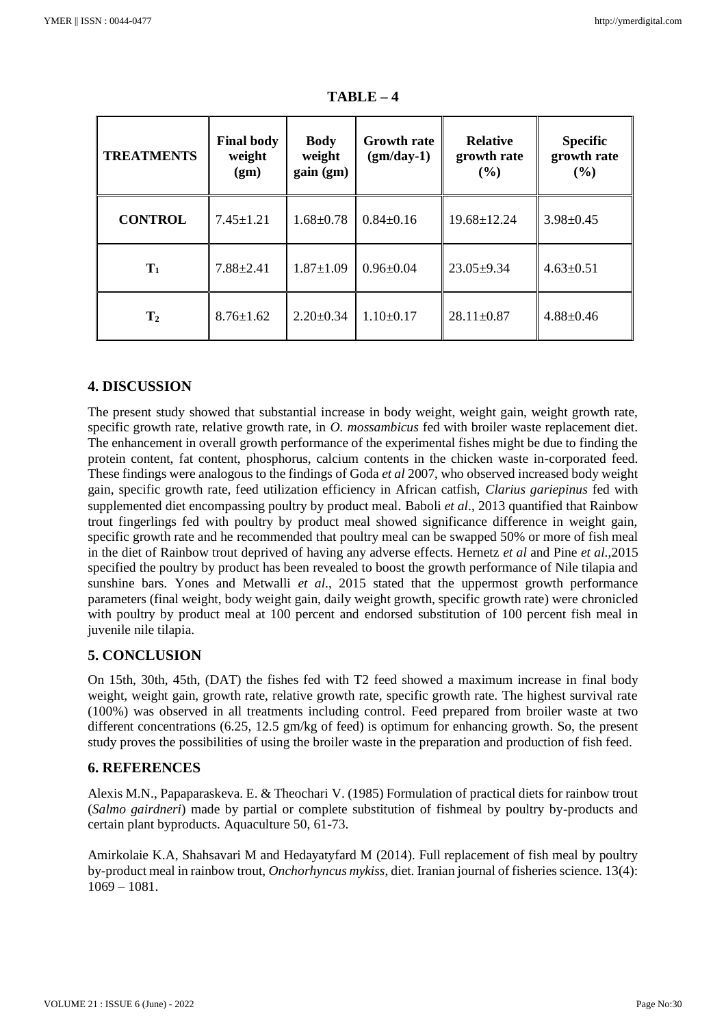| <b>TREATMENTS</b> | <b>Final body</b><br>weight<br>(gm) | <b>Body</b><br>weight<br>gain (gm) | <b>Growth rate</b><br>$(gm/day-1)$ | <b>Relative</b><br>growth rate<br>$($ %) | <b>Specific</b><br>growth rate<br>(9/0) |
|-------------------|-------------------------------------|------------------------------------|------------------------------------|------------------------------------------|-----------------------------------------|
| <b>CONTROL</b>    | $7.45 \pm 1.21$                     | $1.68 \pm 0.78$                    | $0.84 \pm 0.16$                    | $19.68 \pm 12.24$                        | $3.98 \pm 0.45$                         |
| $T_1$             | $7.88 \pm 2.41$                     | $1.87 \pm 1.09$                    | $0.96 \pm 0.04$                    | $23.05 \pm 9.34$                         | $4.63 \pm 0.51$                         |
| T <sub>2</sub>    | $8.76 \pm 1.62$                     | $2.20 \pm 0.34$                    | $1.10\pm0.17$                      | $28.11 \pm 0.87$                         | $4.88 \pm 0.46$                         |

**TABLE – 4**

# **4. DISCUSSION**

The present study showed that substantial increase in body weight, weight gain, weight growth rate, specific growth rate, relative growth rate, in *O. mossambicus* fed with broiler waste replacement diet. The enhancement in overall growth performance of the experimental fishes might be due to finding the protein content, fat content, phosphorus, calcium contents in the chicken waste in-corporated feed. These findings were analogous to the findings of Goda *et al* 2007, who observed increased body weight gain, specific growth rate, feed utilization efficiency in African catfish, *Clarius gariepinus* fed with supplemented diet encompassing poultry by product meal. Baboli *et al*., 2013 quantified that Rainbow trout fingerlings fed with poultry by product meal showed significance difference in weight gain, specific growth rate and he recommended that poultry meal can be swapped 50% or more of fish meal in the diet of Rainbow trout deprived of having any adverse effects. Hernetz *et al* and Pine *et al*.,2015 specified the poultry by product has been revealed to boost the growth performance of Nile tilapia and sunshine bars. Yones and Metwalli *et al*., 2015 stated that the uppermost growth performance parameters (final weight, body weight gain, daily weight growth, specific growth rate) were chronicled with poultry by product meal at 100 percent and endorsed substitution of 100 percent fish meal in juvenile nile tilapia.

# **5. CONCLUSION**

On 15th, 30th, 45th, (DAT) the fishes fed with T2 feed showed a maximum increase in final body weight, weight gain, growth rate, relative growth rate, specific growth rate. The highest survival rate (100%) was observed in all treatments including control. Feed prepared from broiler waste at two different concentrations (6.25, 12.5 gm/kg of feed) is optimum for enhancing growth. So, the present study proves the possibilities of using the broiler waste in the preparation and production of fish feed.

#### **6. REFERENCES**

Alexis M.N., Papaparaskeva. E. & Theochari V. (1985) Formulation of practical diets for rainbow trout (*Salmo gairdneri*) made by partial or complete substitution of fishmeal by poultry by-products and certain plant byproducts. Aquaculture 50, 61-73.

Amirkolaie K.A, Shahsavari M and Hedayatyfard M (2014). Full replacement of fish meal by poultry by-product meal in rainbow trout, *Onchorhyncus mykiss*, diet. Iranian journal of fisheries science. 13(4): 1069 – 1081.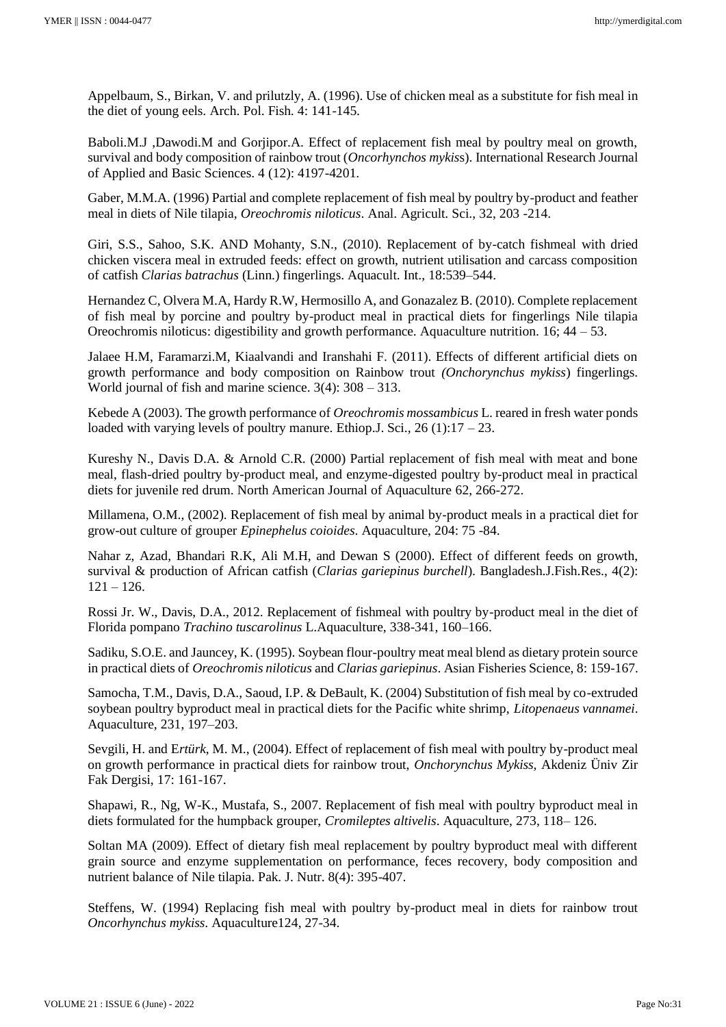Appelbaum, S., Birkan, V. and prilutzly, A. (1996). Use of chicken meal as a substitute for fish meal in the diet of young eels. Arch. Pol. Fish. 4: 141-145.

Baboli.M.J ,Dawodi.M and Gorjipor.A. Effect of replacement fish meal by poultry meal on growth, survival and body composition of rainbow trout (*Oncorhynchos mykis*s). International Research Journal of Applied and Basic Sciences. 4 (12): 4197-4201.

Gaber, M.M.A. (1996) Partial and complete replacement of fish meal by poultry by-product and feather meal in diets of Nile tilapia*, Oreochromis niloticus*. Anal. Agricult. Sci., 32, 203 -214.

Giri, S.S., Sahoo, S.K. AND Mohanty, S.N., (2010). Replacement of by-catch fishmeal with dried chicken viscera meal in extruded feeds: effect on growth, nutrient utilisation and carcass composition of catfish *Clarias batrachus* (Linn.) fingerlings. Aquacult. Int., 18:539–544.

Hernandez C, Olvera M.A, Hardy R.W, Hermosillo A, and Gonazalez B. (2010). Complete replacement of fish meal by porcine and poultry by-product meal in practical diets for fingerlings Nile tilapia Oreochromis niloticus: digestibility and growth performance. Aquaculture nutrition. 16; 44 – 53.

Jalaee H.M, Faramarzi.M, Kiaalvandi and Iranshahi F. (2011). Effects of different artificial diets on growth performance and body composition on Rainbow trout *(Onchorynchus mykiss*) fingerlings. World journal of fish and marine science. 3(4): 308 – 313.

Kebede A (2003). The growth performance of *Oreochromis mossambicus* L. reared in fresh water ponds loaded with varying levels of poultry manure. Ethiop. J. Sci.,  $26(1)$ :  $17 - 23$ .

Kureshy N., Davis D.A. & Arnold C.R. (2000) Partial replacement of fish meal with meat and bone meal, flash-dried poultry by-product meal, and enzyme-digested poultry by-product meal in practical diets for juvenile red drum. North American Journal of Aquaculture 62, 266-272.

Millamena, O.M., (2002). Replacement of fish meal by animal by-product meals in a practical diet for grow-out culture of grouper *Epinephelus coioides*. Aquaculture, 204: 75 -84.

Nahar z, Azad, Bhandari R.K, Ali M.H, and Dewan S (2000). Effect of different feeds on growth, survival & production of African catfish (*Clarias gariepinus burchell*). Bangladesh.J.Fish.Res., 4(2):  $121 - 126$ .

Rossi Jr. W., Davis, D.A., 2012. Replacement of fishmeal with poultry by-product meal in the diet of Florida pompano *Trachino tuscarolinus* L.Aquaculture, 338-341, 160–166.

Sadiku, S.O.E. and Jauncey, K. (1995). Soybean flour-poultry meat meal blend as dietary protein source in practical diets of *Oreochromis niloticus* and *Clarias gariepinus*. Asian Fisheries Science, 8: 159-167.

Samocha, T.M., Davis, D.A., Saoud, I.P. & DeBault, K. (2004) Substitution of fish meal by co-extruded soybean poultry byproduct meal in practical diets for the Pacific white shrimp, *Litopenaeus vannamei*. Aquaculture, 231, 197–203.

Sevgili, H. and E*rtürk*, M. M., (2004). Effect of replacement of fish meal with poultry by-product meal on growth performance in practical diets for rainbow trout, *Onchorynchus Mykiss,* Akdeniz Üniv Zir Fak Dergisi, 17: 161-167.

Shapawi, R., Ng, W-K., Mustafa, S., 2007. Replacement of fish meal with poultry byproduct meal in diets formulated for the humpback grouper, *Cromileptes altivelis*. Aquaculture, 273, 118– 126.

Soltan MA (2009). Effect of dietary fish meal replacement by poultry byproduct meal with different grain source and enzyme supplementation on performance, feces recovery, body composition and nutrient balance of Nile tilapia. Pak. J. Nutr. 8(4): 395-407.

Steffens, W. (1994) Replacing fish meal with poultry by-product meal in diets for rainbow trout *Oncorhynchus mykiss*. Aquaculture124, 27-34.